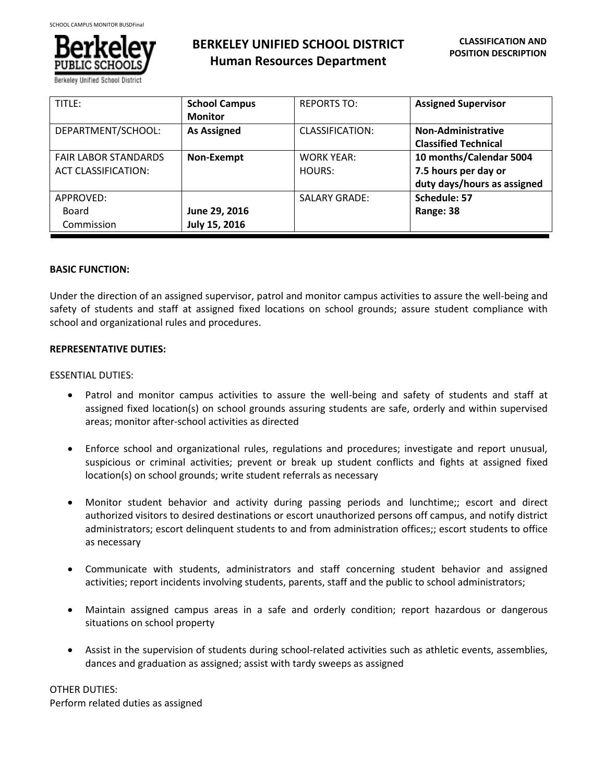

Berkeley Unified School Di

# **BERKELEY UNIFIED SCHOOL DISTRICT Human Resources Department**

| TITLE:                      | <b>School Campus</b> | <b>REPORTS TO:</b>     | <b>Assigned Supervisor</b>  |
|-----------------------------|----------------------|------------------------|-----------------------------|
|                             | <b>Monitor</b>       |                        |                             |
| DEPARTMENT/SCHOOL:          | <b>As Assigned</b>   | <b>CLASSIFICATION:</b> | Non-Administrative          |
|                             |                      |                        | <b>Classified Technical</b> |
| <b>FAIR LABOR STANDARDS</b> | Non-Exempt           | <b>WORK YEAR:</b>      | 10 months/Calendar 5004     |
| <b>ACT CLASSIFICATION:</b>  |                      | HOURS:                 | 7.5 hours per day or        |
|                             |                      |                        | duty days/hours as assigned |
| APPROVED:                   |                      | <b>SALARY GRADE:</b>   | Schedule: 57                |
| Board                       | June 29, 2016        |                        | Range: 38                   |
| Commission                  | July 15, 2016        |                        |                             |

## **BASIC FUNCTION:**

Under the direction of an assigned supervisor, patrol and monitor campus activities to assure the well-being and safety of students and staff at assigned fixed locations on school grounds; assure student compliance with school and organizational rules and procedures.

## **REPRESENTATIVE DUTIES:**

## ESSENTIAL DUTIES:

- Patrol and monitor campus activities to assure the well-being and safety of students and staff at assigned fixed location(s) on school grounds assuring students are safe, orderly and within supervised areas; monitor after-school activities as directed
- Enforce school and organizational rules, regulations and procedures; investigate and report unusual, suspicious or criminal activities; prevent or break up student conflicts and fights at assigned fixed location(s) on school grounds; write student referrals as necessary
- Monitor student behavior and activity during passing periods and lunchtime;; escort and direct authorized visitors to desired destinations or escort unauthorized persons off campus, and notify district administrators; escort delinquent students to and from administration offices;; escort students to office as necessary
- Communicate with students, administrators and staff concerning student behavior and assigned activities; report incidents involving students, parents, staff and the public to school administrators;
- Maintain assigned campus areas in a safe and orderly condition; report hazardous or dangerous situations on school property
- Assist in the supervision of students during school-related activities such as athletic events, assemblies, dances and graduation as assigned; assist with tardy sweeps as assigned

OTHER DUTIES:

Perform related duties as assigned